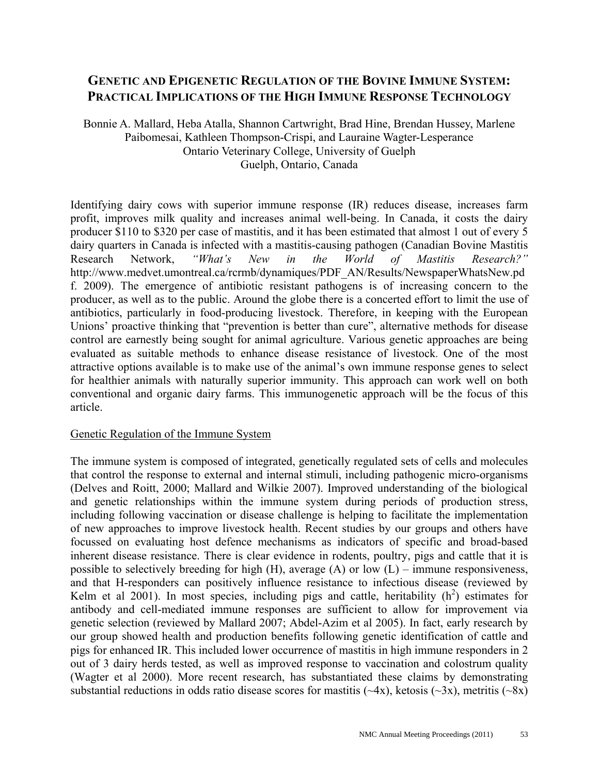# **GENETIC AND EPIGENETIC REGULATION OF THE BOVINE IMMUNE SYSTEM: PRACTICAL IMPLICATIONS OF THE HIGH IMMUNE RESPONSE TECHNOLOGY**

Bonnie A. Mallard, Heba Atalla, Shannon Cartwright, Brad Hine, Brendan Hussey, Marlene Paibomesai, Kathleen Thompson-Crispi, and Lauraine Wagter-Lesperance Ontario Veterinary College, University of Guelph Guelph, Ontario, Canada

Identifying dairy cows with superior immune response (IR) reduces disease, increases farm profit, improves milk quality and increases animal well-being. In Canada, it costs the dairy producer \$110 to \$320 per case of mastitis, and it has been estimated that almost 1 out of every 5 dairy quarters in Canada is infected with a mastitis-causing pathogen (Canadian Bovine Mastitis Research Network, *"What's New in the World of Mastitis Research?"* http://www.medvet.umontreal.ca/rcrmb/dynamiques/PDF\_AN/Results/NewspaperWhatsNew.pd f. 2009). The emergence of antibiotic resistant pathogens is of increasing concern to the producer, as well as to the public. Around the globe there is a concerted effort to limit the use of antibiotics, particularly in food-producing livestock. Therefore, in keeping with the European Unions' proactive thinking that "prevention is better than cure", alternative methods for disease control are earnestly being sought for animal agriculture. Various genetic approaches are being evaluated as suitable methods to enhance disease resistance of livestock. One of the most attractive options available is to make use of the animal's own immune response genes to select for healthier animals with naturally superior immunity. This approach can work well on both conventional and organic dairy farms. This immunogenetic approach will be the focus of this article.

### Genetic Regulation of the Immune System

The immune system is composed of integrated, genetically regulated sets of cells and molecules that control the response to external and internal stimuli, including pathogenic micro-organisms (Delves and Roitt, 2000; Mallard and Wilkie 2007). Improved understanding of the biological and genetic relationships within the immune system during periods of production stress, including following vaccination or disease challenge is helping to facilitate the implementation of new approaches to improve livestock health. Recent studies by our groups and others have focussed on evaluating host defence mechanisms as indicators of specific and broad-based inherent disease resistance. There is clear evidence in rodents, poultry, pigs and cattle that it is possible to selectively breeding for high  $(H)$ , average  $(A)$  or low  $(L)$  – immune responsiveness, and that H-responders can positively influence resistance to infectious disease (reviewed by Kelm et al  $2001$ ). In most species, including pigs and cattle, heritability  $(h^2)$  estimates for antibody and cell-mediated immune responses are sufficient to allow for improvement via genetic selection (reviewed by Mallard 2007; Abdel-Azim et al 2005). In fact, early research by our group showed health and production benefits following genetic identification of cattle and pigs for enhanced IR. This included lower occurrence of mastitis in high immune responders in 2 out of 3 dairy herds tested, as well as improved response to vaccination and colostrum quality (Wagter et al 2000). More recent research, has substantiated these claims by demonstrating substantial reductions in odds ratio disease scores for mastitis  $(\sim 4x)$ , ketosis  $(\sim 3x)$ , metritis  $(\sim 8x)$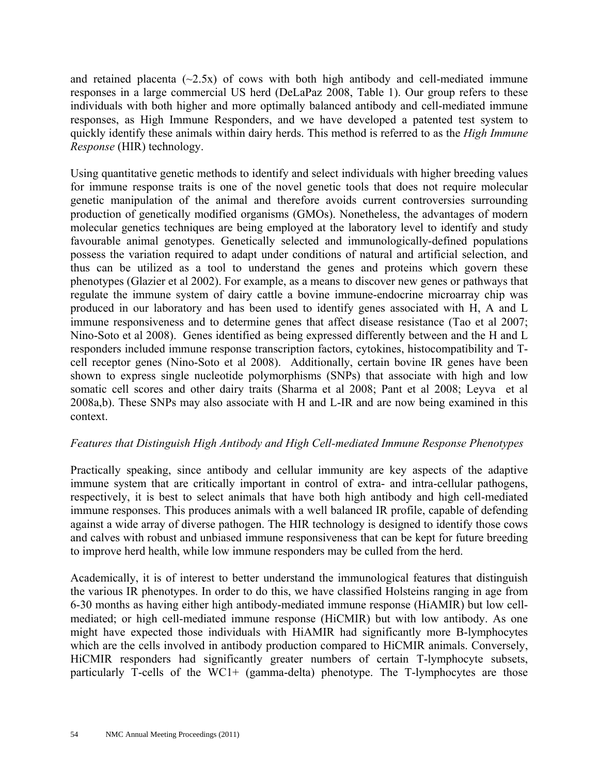and retained placenta  $(\sim 2.5x)$  of cows with both high antibody and cell-mediated immune responses in a large commercial US herd (DeLaPaz 2008, Table 1). Our group refers to these individuals with both higher and more optimally balanced antibody and cell-mediated immune responses, as High Immune Responders, and we have developed a patented test system to quickly identify these animals within dairy herds. This method is referred to as the *High Immune Response* (HIR) technology.

Using quantitative genetic methods to identify and select individuals with higher breeding values for immune response traits is one of the novel genetic tools that does not require molecular genetic manipulation of the animal and therefore avoids current controversies surrounding production of genetically modified organisms (GMOs). Nonetheless, the advantages of modern molecular genetics techniques are being employed at the laboratory level to identify and study favourable animal genotypes. Genetically selected and immunologically-defined populations possess the variation required to adapt under conditions of natural and artificial selection, and thus can be utilized as a tool to understand the genes and proteins which govern these phenotypes (Glazier et al 2002). For example, as a means to discover new genes or pathways that regulate the immune system of dairy cattle a bovine immune-endocrine microarray chip was produced in our laboratory and has been used to identify genes associated with H, A and L immune responsiveness and to determine genes that affect disease resistance (Tao et al 2007; Nino-Soto et al 2008). Genes identified as being expressed differently between and the H and L responders included immune response transcription factors, cytokines, histocompatibility and Tcell receptor genes (Nino-Soto et al 2008). Additionally, certain bovine IR genes have been shown to express single nucleotide polymorphisms (SNPs) that associate with high and low somatic cell scores and other dairy traits (Sharma et al 2008; Pant et al 2008; Leyva et al 2008a,b). These SNPs may also associate with H and L-IR and are now being examined in this context.

### *Features that Distinguish High Antibody and High Cell-mediated Immune Response Phenotypes*

Practically speaking, since antibody and cellular immunity are key aspects of the adaptive immune system that are critically important in control of extra- and intra-cellular pathogens, respectively, it is best to select animals that have both high antibody and high cell-mediated immune responses. This produces animals with a well balanced IR profile, capable of defending against a wide array of diverse pathogen. The HIR technology is designed to identify those cows and calves with robust and unbiased immune responsiveness that can be kept for future breeding to improve herd health, while low immune responders may be culled from the herd.

Academically, it is of interest to better understand the immunological features that distinguish the various IR phenotypes. In order to do this, we have classified Holsteins ranging in age from 6-30 months as having either high antibody-mediated immune response (HiAMIR) but low cellmediated; or high cell-mediated immune response (HiCMIR) but with low antibody. As one might have expected those individuals with HiAMIR had significantly more B-lymphocytes which are the cells involved in antibody production compared to HiCMIR animals. Conversely, HiCMIR responders had significantly greater numbers of certain T-lymphocyte subsets, particularly T-cells of the WC1+ (gamma-delta) phenotype. The T-lymphocytes are those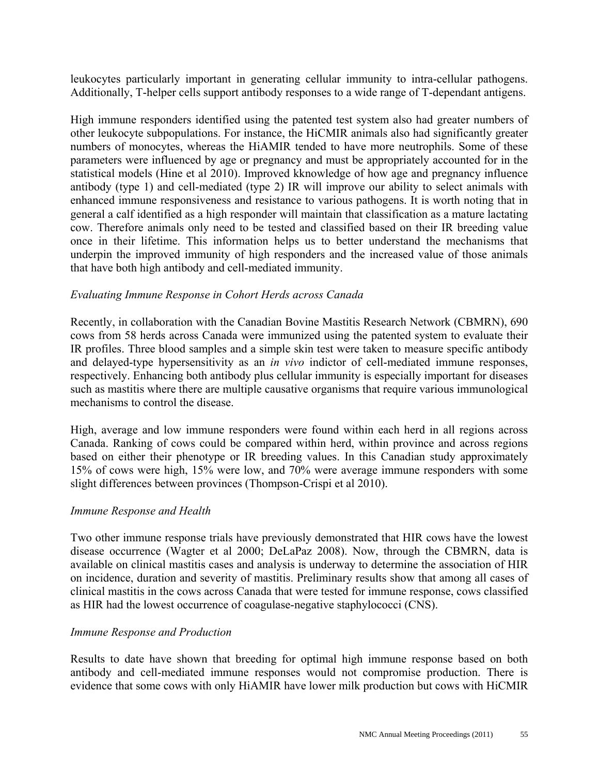leukocytes particularly important in generating cellular immunity to intra-cellular pathogens. Additionally, T-helper cells support antibody responses to a wide range of T-dependant antigens.

High immune responders identified using the patented test system also had greater numbers of other leukocyte subpopulations. For instance, the HiCMIR animals also had significantly greater numbers of monocytes, whereas the HiAMIR tended to have more neutrophils. Some of these parameters were influenced by age or pregnancy and must be appropriately accounted for in the statistical models (Hine et al 2010). Improved kknowledge of how age and pregnancy influence antibody (type 1) and cell-mediated (type 2) IR will improve our ability to select animals with enhanced immune responsiveness and resistance to various pathogens. It is worth noting that in general a calf identified as a high responder will maintain that classification as a mature lactating cow. Therefore animals only need to be tested and classified based on their IR breeding value once in their lifetime. This information helps us to better understand the mechanisms that underpin the improved immunity of high responders and the increased value of those animals that have both high antibody and cell-mediated immunity.

#### *Evaluating Immune Response in Cohort Herds across Canada*

Recently, in collaboration with the Canadian Bovine Mastitis Research Network (CBMRN), 690 cows from 58 herds across Canada were immunized using the patented system to evaluate their IR profiles. Three blood samples and a simple skin test were taken to measure specific antibody and delayed-type hypersensitivity as an *in vivo* indictor of cell-mediated immune responses, respectively. Enhancing both antibody plus cellular immunity is especially important for diseases such as mastitis where there are multiple causative organisms that require various immunological mechanisms to control the disease.

High, average and low immune responders were found within each herd in all regions across Canada. Ranking of cows could be compared within herd, within province and across regions based on either their phenotype or IR breeding values. In this Canadian study approximately 15% of cows were high, 15% were low, and 70% were average immune responders with some slight differences between provinces (Thompson-Crispi et al 2010).

#### *Immune Response and Health*

Two other immune response trials have previously demonstrated that HIR cows have the lowest disease occurrence (Wagter et al 2000; DeLaPaz 2008). Now, through the CBMRN, data is available on clinical mastitis cases and analysis is underway to determine the association of HIR on incidence, duration and severity of mastitis. Preliminary results show that among all cases of clinical mastitis in the cows across Canada that were tested for immune response, cows classified as HIR had the lowest occurrence of coagulase-negative staphylococci (CNS).

#### *Immune Response and Production*

Results to date have shown that breeding for optimal high immune response based on both antibody and cell-mediated immune responses would not compromise production. There is evidence that some cows with only HiAMIR have lower milk production but cows with HiCMIR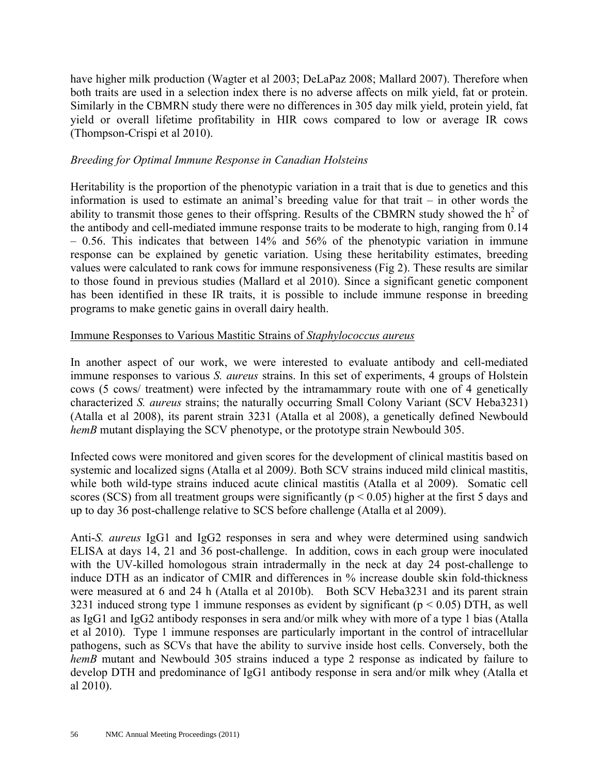have higher milk production (Wagter et al 2003; DeLaPaz 2008; Mallard 2007). Therefore when both traits are used in a selection index there is no adverse affects on milk yield, fat or protein. Similarly in the CBMRN study there were no differences in 305 day milk yield, protein yield, fat yield or overall lifetime profitability in HIR cows compared to low or average IR cows (Thompson-Crispi et al 2010).

### *Breeding for Optimal Immune Response in Canadian Holsteins*

Heritability is the proportion of the phenotypic variation in a trait that is due to genetics and this information is used to estimate an animal's breeding value for that trait – in other words the ability to transmit those genes to their offspring. Results of the CBMRN study showed the  $h^2$  of the antibody and cell-mediated immune response traits to be moderate to high, ranging from 0.14 – 0.56. This indicates that between 14% and 56% of the phenotypic variation in immune response can be explained by genetic variation. Using these heritability estimates, breeding values were calculated to rank cows for immune responsiveness (Fig 2). These results are similar to those found in previous studies (Mallard et al 2010). Since a significant genetic component has been identified in these IR traits, it is possible to include immune response in breeding programs to make genetic gains in overall dairy health.

### Immune Responses to Various Mastitic Strains of *Staphylococcus aureus*

In another aspect of our work, we were interested to evaluate antibody and cell-mediated immune responses to various *S. aureus* strains. In this set of experiments, 4 groups of Holstein cows (5 cows/ treatment) were infected by the intramammary route with one of 4 genetically characterized *S. aureus* strains; the naturally occurring Small Colony Variant (SCV Heba3231) (Atalla et al 2008), its parent strain 3231 (Atalla et al 2008), a genetically defined Newbould *hemB* mutant displaying the SCV phenotype, or the prototype strain Newbould 305.

Infected cows were monitored and given scores for the development of clinical mastitis based on systemic and localized signs (Atalla et al 2009*)*. Both SCV strains induced mild clinical mastitis, while both wild-type strains induced acute clinical mastitis (Atalla et al 2009). Somatic cell scores (SCS) from all treatment groups were significantly ( $p < 0.05$ ) higher at the first 5 days and up to day 36 post-challenge relative to SCS before challenge (Atalla et al 2009).

Anti-*S. aureus* IgG1 and IgG2 responses in sera and whey were determined using sandwich ELISA at days 14, 21 and 36 post-challenge. In addition, cows in each group were inoculated with the UV-killed homologous strain intradermally in the neck at day 24 post-challenge to induce DTH as an indicator of CMIR and differences in % increase double skin fold-thickness were measured at 6 and 24 h (Atalla et al 2010b). Both SCV Heba3231 and its parent strain 3231 induced strong type 1 immune responses as evident by significant ( $p < 0.05$ ) DTH, as well as IgG1 and IgG2 antibody responses in sera and/or milk whey with more of a type 1 bias (Atalla et al 2010). Type 1 immune responses are particularly important in the control of intracellular pathogens, such as SCVs that have the ability to survive inside host cells. Conversely, both the *hemB* mutant and Newbould 305 strains induced a type 2 response as indicated by failure to develop DTH and predominance of IgG1 antibody response in sera and/or milk whey (Atalla et al 2010).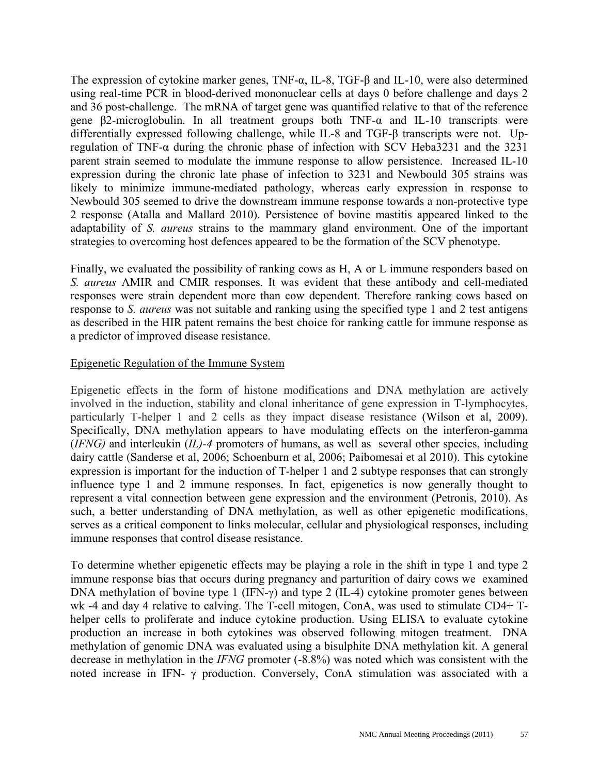The expression of cytokine marker genes, TNF-α, IL-8, TGF-β and IL-10, were also determined using real-time PCR in blood-derived mononuclear cells at days 0 before challenge and days 2 and 36 post-challenge. The mRNA of target gene was quantified relative to that of the reference gene β2-microglobulin. In all treatment groups both TNF-α and IL-10 transcripts were differentially expressed following challenge, while IL-8 and TGF-β transcripts were not. Upregulation of TNF-α during the chronic phase of infection with SCV Heba3231 and the 3231 parent strain seemed to modulate the immune response to allow persistence. Increased IL-10 expression during the chronic late phase of infection to 3231 and Newbould 305 strains was likely to minimize immune-mediated pathology, whereas early expression in response to Newbould 305 seemed to drive the downstream immune response towards a non-protective type 2 response (Atalla and Mallard 2010). Persistence of bovine mastitis appeared linked to the adaptability of *S. aureus* strains to the mammary gland environment. One of the important strategies to overcoming host defences appeared to be the formation of the SCV phenotype.

Finally, we evaluated the possibility of ranking cows as H, A or L immune responders based on *S. aureus* AMIR and CMIR responses. It was evident that these antibody and cell-mediated responses were strain dependent more than cow dependent. Therefore ranking cows based on response to *S. aureus* was not suitable and ranking using the specified type 1 and 2 test antigens as described in the HIR patent remains the best choice for ranking cattle for immune response as a predictor of improved disease resistance.

#### Epigenetic Regulation of the Immune System

Epigenetic effects in the form of histone modifications and DNA methylation are actively involved in the induction, stability and clonal inheritance of gene expression in T-lymphocytes, particularly T-helper 1 and 2 cells as they impact disease resistance (Wilson et al, 2009). Specifically, DNA methylation appears to have modulating effects on the interferon-gamma (*IFNG)* and interleukin (*IL)-4* promoters of humans, as well as several other species, including dairy cattle (Sanderse et al, 2006; Schoenburn et al, 2006; Paibomesai et al 2010). This cytokine expression is important for the induction of T-helper 1 and 2 subtype responses that can strongly influence type 1 and 2 immune responses. In fact, epigenetics is now generally thought to represent a vital connection between gene expression and the environment (Petronis, 2010). As such, a better understanding of DNA methylation, as well as other epigenetic modifications, serves as a critical component to links molecular, cellular and physiological responses, including immune responses that control disease resistance.

To determine whether epigenetic effects may be playing a role in the shift in type 1 and type 2 immune response bias that occurs during pregnancy and parturition of dairy cows we examined DNA methylation of bovine type 1 (IFN-γ) and type 2 (IL-4) cytokine promoter genes between wk -4 and day 4 relative to calving. The T-cell mitogen, ConA, was used to stimulate CD4+ Thelper cells to proliferate and induce cytokine production. Using ELISA to evaluate cytokine production an increase in both cytokines was observed following mitogen treatment. DNA methylation of genomic DNA was evaluated using a bisulphite DNA methylation kit. A general decrease in methylation in the *IFNG* promoter (-8.8%) was noted which was consistent with the noted increase in IFN- γ production. Conversely, ConA stimulation was associated with a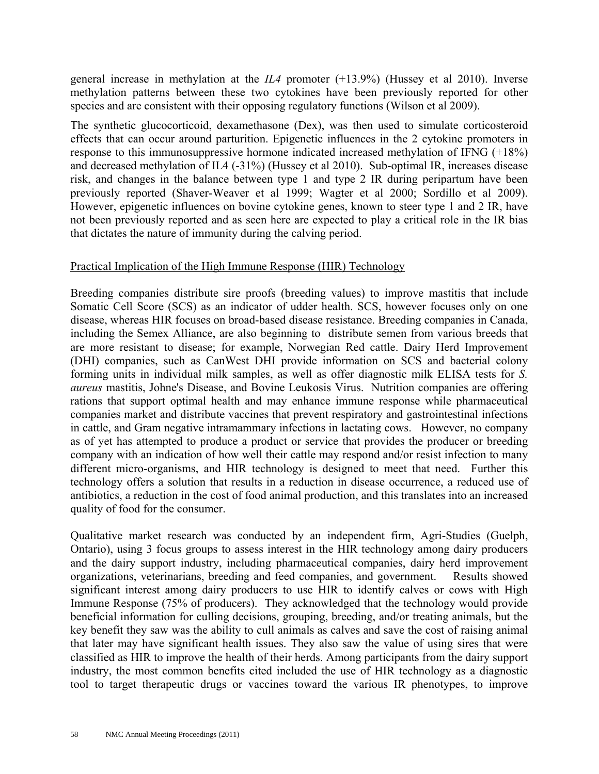general increase in methylation at the *IL4* promoter (+13.9%) (Hussey et al 2010). Inverse methylation patterns between these two cytokines have been previously reported for other species and are consistent with their opposing regulatory functions (Wilson et al 2009).

The synthetic glucocorticoid, dexamethasone (Dex), was then used to simulate corticosteroid effects that can occur around parturition. Epigenetic influences in the 2 cytokine promoters in response to this immunosuppressive hormone indicated increased methylation of IFNG (+18%) and decreased methylation of IL4 (-31%) (Hussey et al 2010). Sub-optimal IR, increases disease risk, and changes in the balance between type 1 and type 2 IR during peripartum have been previously reported (Shaver-Weaver et al 1999; Wagter et al 2000; Sordillo et al 2009). However, epigenetic influences on bovine cytokine genes, known to steer type 1 and 2 IR, have not been previously reported and as seen here are expected to play a critical role in the IR bias that dictates the nature of immunity during the calving period.

### Practical Implication of the High Immune Response (HIR) Technology

Breeding companies distribute sire proofs (breeding values) to improve mastitis that include Somatic Cell Score (SCS) as an indicator of udder health. SCS, however focuses only on one disease, whereas HIR focuses on broad-based disease resistance. Breeding companies in Canada, including the Semex Alliance, are also beginning to distribute semen from various breeds that are more resistant to disease; for example, Norwegian Red cattle. Dairy Herd Improvement (DHI) companies, such as CanWest DHI provide information on SCS and bacterial colony forming units in individual milk samples, as well as offer diagnostic milk ELISA tests for *S. aureus* mastitis, Johne's Disease, and Bovine Leukosis Virus. Nutrition companies are offering rations that support optimal health and may enhance immune response while pharmaceutical companies market and distribute vaccines that prevent respiratory and gastrointestinal infections in cattle, and Gram negative intramammary infections in lactating cows. However, no company as of yet has attempted to produce a product or service that provides the producer or breeding company with an indication of how well their cattle may respond and/or resist infection to many different micro-organisms, and HIR technology is designed to meet that need. Further this technology offers a solution that results in a reduction in disease occurrence, a reduced use of antibiotics, a reduction in the cost of food animal production, and this translates into an increased quality of food for the consumer.

Qualitative market research was conducted by an independent firm, Agri-Studies (Guelph, Ontario), using 3 focus groups to assess interest in the HIR technology among dairy producers and the dairy support industry, including pharmaceutical companies, dairy herd improvement organizations, veterinarians, breeding and feed companies, and government. Results showed significant interest among dairy producers to use HIR to identify calves or cows with High Immune Response (75% of producers). They acknowledged that the technology would provide beneficial information for culling decisions, grouping, breeding, and/or treating animals, but the key benefit they saw was the ability to cull animals as calves and save the cost of raising animal that later may have significant health issues. They also saw the value of using sires that were classified as HIR to improve the health of their herds. Among participants from the dairy support industry, the most common benefits cited included the use of HIR technology as a diagnostic tool to target therapeutic drugs or vaccines toward the various IR phenotypes, to improve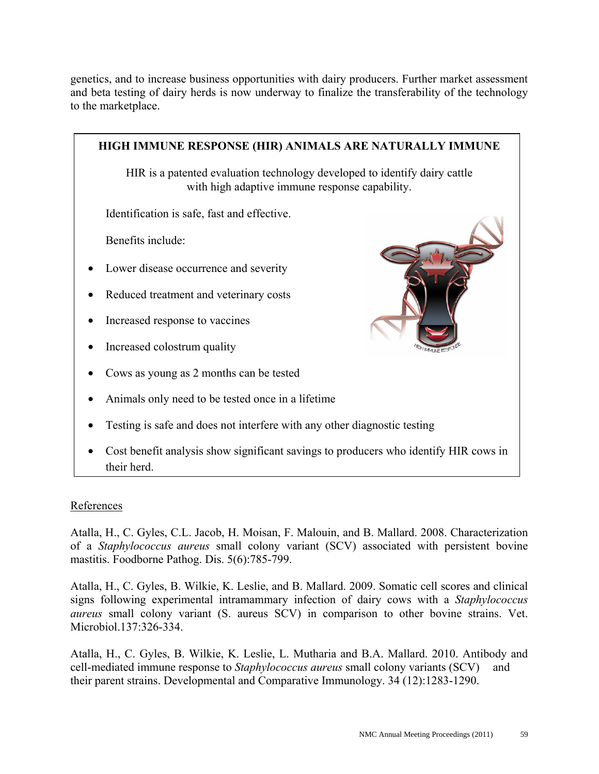genetics, and to increase business opportunities with dairy producers. Further market assessment and beta testing of dairy herds is now underway to finalize the transferability of the technology to the marketplace.



## References

Atalla, H., C. Gyles, C.L. Jacob, H. Moisan, F. Malouin, and B. Mallard. 2008. Characterization of a *Staphylococcus aureus* small colony variant (SCV) associated with persistent bovine mastitis. Foodborne Pathog. Dis. 5(6):785-799.

Atalla, H., C. Gyles, B. Wilkie, K. Leslie, and B. Mallard. 2009. Somatic cell scores and clinical signs following experimental intramammary infection of dairy cows with a *Staphylococcus aureus* small colony variant (S. aureus SCV) in comparison to other bovine strains. Vet. Microbiol.137:326-334.

Atalla, H., C. Gyles, B. Wilkie, K. Leslie, L. Mutharia and B.A. Mallard. 2010. Antibody and cell-mediated immune response to *Staphylococcus aureus* small colony variants (SCV) and their parent strains. Developmental and Comparative Immunology. 34 (12):1283-1290.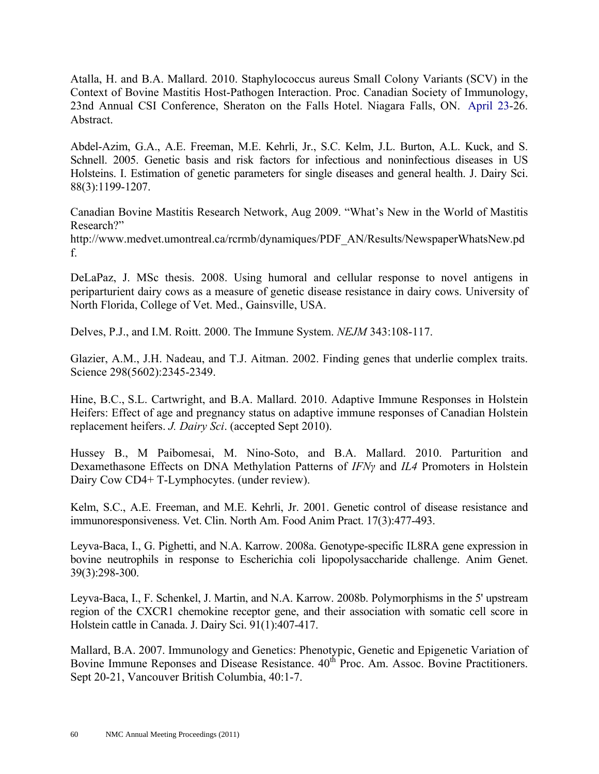Atalla, H. and B.A. Mallard. 2010. Staphylococcus aureus Small Colony Variants (SCV) in the Context of Bovine Mastitis Host-Pathogen Interaction. Proc. Canadian Society of Immunology, 23nd Annual CSI Conference, Sheraton on the Falls Hotel. Niagara Falls, ON. April 23-26. Abstract.

Abdel-Azim, G.A., A.E. Freeman, M.E. Kehrli, Jr., S.C. Kelm, J.L. Burton, A.L. Kuck, and S. Schnell. 2005. Genetic basis and risk factors for infectious and noninfectious diseases in US Holsteins. I. Estimation of genetic parameters for single diseases and general health. J. Dairy Sci. 88(3):1199-1207.

Canadian Bovine Mastitis Research Network, Aug 2009. "What's New in the World of Mastitis Research?"

http://www.medvet.umontreal.ca/rcrmb/dynamiques/PDF\_AN/Results/NewspaperWhatsNew.pd f.

DeLaPaz, J. MSc thesis. 2008. Using humoral and cellular response to novel antigens in periparturient dairy cows as a measure of genetic disease resistance in dairy cows. University of North Florida, College of Vet. Med., Gainsville, USA.

Delves, P.J., and I.M. Roitt. 2000. The Immune System. *NEJM* 343:108-117.

Glazier, A.M., J.H. Nadeau, and T.J. Aitman. 2002. Finding genes that underlie complex traits. Science 298(5602):2345-2349.

Hine, B.C., S.L. Cartwright, and B.A. Mallard. 2010. Adaptive Immune Responses in Holstein Heifers: Effect of age and pregnancy status on adaptive immune responses of Canadian Holstein replacement heifers. *J. Dairy Sci*. (accepted Sept 2010).

Hussey B., M Paibomesai, M. Nino-Soto, and B.A. Mallard. 2010. Parturition and Dexamethasone Effects on DNA Methylation Patterns of *IFNγ* and *IL4* Promoters in Holstein Dairy Cow CD4+ T-Lymphocytes. (under review).

Kelm, S.C., A.E. Freeman, and M.E. Kehrli, Jr. 2001. Genetic control of disease resistance and immunoresponsiveness. Vet. Clin. North Am. Food Anim Pract. 17(3):477-493.

Leyva-Baca, I., G. Pighetti, and N.A. Karrow. 2008a. Genotype-specific IL8RA gene expression in bovine neutrophils in response to Escherichia coli lipopolysaccharide challenge. Anim Genet. 39(3):298-300.

Leyva-Baca, I., F. Schenkel, J. Martin, and N.A. Karrow. 2008b. Polymorphisms in the 5' upstream region of the CXCR1 chemokine receptor gene, and their association with somatic cell score in Holstein cattle in Canada. J. Dairy Sci. 91(1):407-417.

Mallard, B.A. 2007. Immunology and Genetics: Phenotypic, Genetic and Epigenetic Variation of Bovine Immune Reponses and Disease Resistance.  $40^{th}$  Proc. Am. Assoc. Bovine Practitioners. Sept 20-21, Vancouver British Columbia, 40:1-7.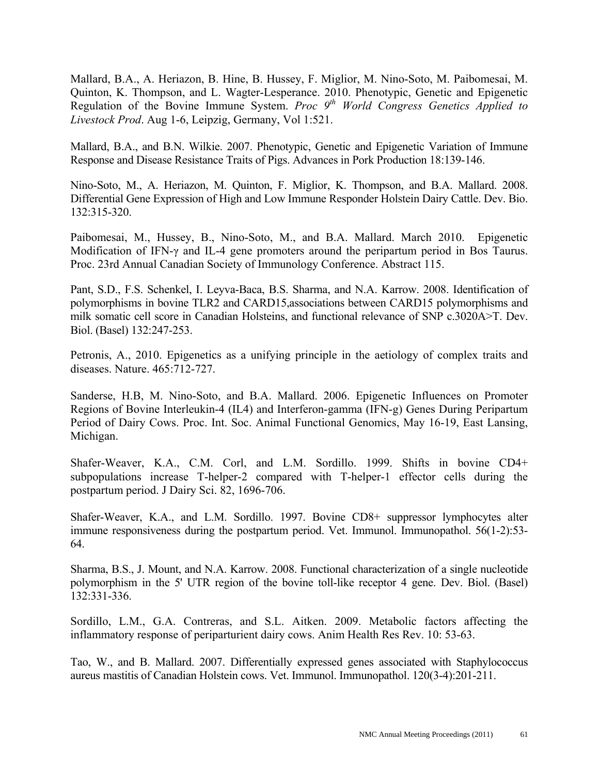Mallard, B.A., A. Heriazon, B. Hine, B. Hussey, F. Miglior, M. Nino-Soto, M. Paibomesai, M. Quinton, K. Thompson, and L. Wagter-Lesperance. 2010. Phenotypic, Genetic and Epigenetic Regulation of the Bovine Immune System. *Proc 9th World Congress Genetics Applied to Livestock Prod*. Aug 1-6, Leipzig, Germany, Vol 1:521.

Mallard, B.A., and B.N. Wilkie. 2007. Phenotypic, Genetic and Epigenetic Variation of Immune Response and Disease Resistance Traits of Pigs. Advances in Pork Production 18:139-146.

Nino-Soto, M., A. Heriazon, M. Quinton, F. Miglior, K. Thompson, and B.A. Mallard. 2008. Differential Gene Expression of High and Low Immune Responder Holstein Dairy Cattle. Dev. Bio. 132:315-320.

Paibomesai, M., Hussey, B., Nino-Soto, M., and B.A. Mallard. March 2010. Epigenetic Modification of IFN-γ and IL-4 gene promoters around the peripartum period in Bos Taurus. Proc. 23rd Annual Canadian Society of Immunology Conference. Abstract 115.

Pant, S.D., F.S. Schenkel, I. Leyva-Baca, B.S. Sharma, and N.A. Karrow. 2008. Identification of polymorphisms in bovine TLR2 and CARD15,associations between CARD15 polymorphisms and milk somatic cell score in Canadian Holsteins, and functional relevance of SNP c.3020A>T. Dev. Biol. (Basel) 132:247-253.

Petronis, A., 2010. Epigenetics as a unifying principle in the aetiology of complex traits and diseases. Nature. 465:712-727.

Sanderse, H.B, M. Nino-Soto, and B.A. Mallard. 2006. Epigenetic Influences on Promoter Regions of Bovine Interleukin-4 (IL4) and Interferon-gamma (IFN-g) Genes During Peripartum Period of Dairy Cows. Proc. Int. Soc. Animal Functional Genomics, May 16-19, East Lansing, Michigan.

Shafer-Weaver, K.A., C.M. Corl, and L.M. Sordillo. 1999. Shifts in bovine CD4+ subpopulations increase T-helper-2 compared with T-helper-1 effector cells during the postpartum period. J Dairy Sci. 82, 1696-706.

Shafer-Weaver, K.A., and L.M. Sordillo. 1997. Bovine CD8+ suppressor lymphocytes alter immune responsiveness during the postpartum period. Vet. Immunol. Immunopathol. 56(1-2):53-64.

Sharma, B.S., J. Mount, and N.A. Karrow. 2008. Functional characterization of a single nucleotide polymorphism in the 5' UTR region of the bovine toll-like receptor 4 gene. Dev. Biol. (Basel) 132:331-336.

Sordillo, L.M., G.A. Contreras, and S.L. Aitken. 2009. Metabolic factors affecting the inflammatory response of periparturient dairy cows. Anim Health Res Rev. 10: 53-63.

Tao, W., and B. Mallard. 2007. Differentially expressed genes associated with Staphylococcus aureus mastitis of Canadian Holstein cows. Vet. Immunol. Immunopathol. 120(3-4):201-211.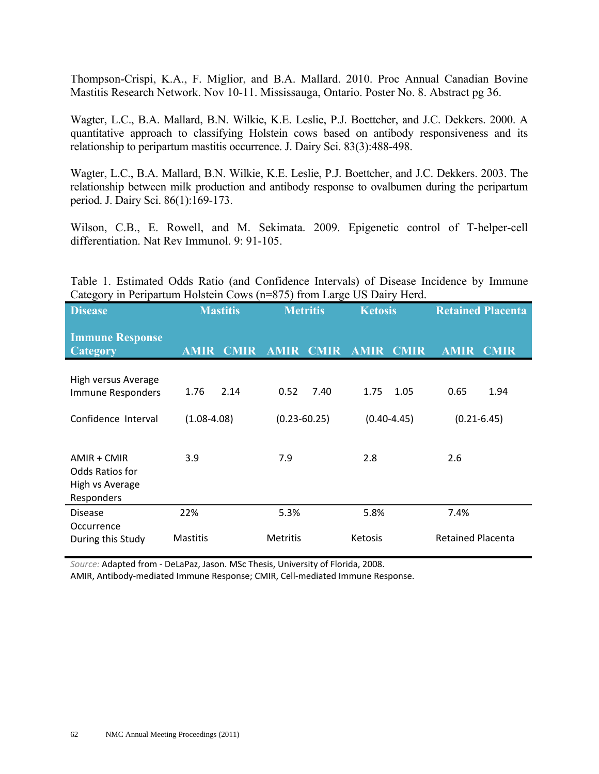Thompson-Crispi, K.A., F. Miglior, and B.A. Mallard. 2010. Proc Annual Canadian Bovine Mastitis Research Network. Nov 10-11. Mississauga, Ontario. Poster No. 8. Abstract pg 36.

Wagter, L.C., B.A. Mallard, B.N. Wilkie, K.E. Leslie, P.J. Boettcher, and J.C. Dekkers. 2000. A quantitative approach to classifying Holstein cows based on antibody responsiveness and its relationship to peripartum mastitis occurrence. J. Dairy Sci. 83(3):488-498.

Wagter, L.C., B.A. Mallard, B.N. Wilkie, K.E. Leslie, P.J. Boettcher, and J.C. Dekkers. 2003. The relationship between milk production and antibody response to ovalbumen during the peripartum period. J. Dairy Sci. 86(1):169-173.

Wilson, C.B., E. Rowell, and M. Sekimata. 2009. Epigenetic control of T-helper-cell differentiation. Nat Rev Immunol. 9: 91-105.

Table 1. Estimated Odds Ratio (and Confidence Intervals) of Disease Incidence by Immune Category in Peripartum Holstein Cows (n=875) from Large US Dairy Herd.

| <b>Disease</b>                                                    | <b>Mastitis</b>            | <b>Metritis</b>            | <b>Ketosis</b>             | <b>Retained Placenta</b>   |
|-------------------------------------------------------------------|----------------------------|----------------------------|----------------------------|----------------------------|
| <b>Immune Response</b><br><b>Category</b>                         | <b>AMIR</b><br><b>CMIR</b> | <b>CMIR</b><br><b>AMIR</b> | <b>AMIR</b><br><b>CMIR</b> | <b>AMIR</b><br><b>CMIR</b> |
| High versus Average<br>Immune Responders                          | 2.14<br>1.76               | 0.52<br>7.40               | 1.75<br>1.05               | 0.65<br>1.94               |
| Confidence Interval                                               | $(1.08 - 4.08)$            | $(0.23 - 60.25)$           | $(0.40 - 4.45)$            | $(0.21 - 6.45)$            |
| $AMIR + CMIR$<br>Odds Ratios for<br>High vs Average<br>Responders | 3.9                        | 7.9                        | 2.8                        | 2.6                        |
| <b>Disease</b>                                                    | 22%                        | 5.3%                       | 5.8%                       | 7.4%                       |
| Occurrence<br>During this Study                                   | <b>Mastitis</b>            | <b>Metritis</b>            | Ketosis                    | <b>Retained Placenta</b>   |

*Source:* Adapted from - DeLaPaz, Jason. MSc Thesis, University of Florida, 2008.

AMIR, Antibody-mediated Immune Response; CMIR, Cell-mediated Immune Response.